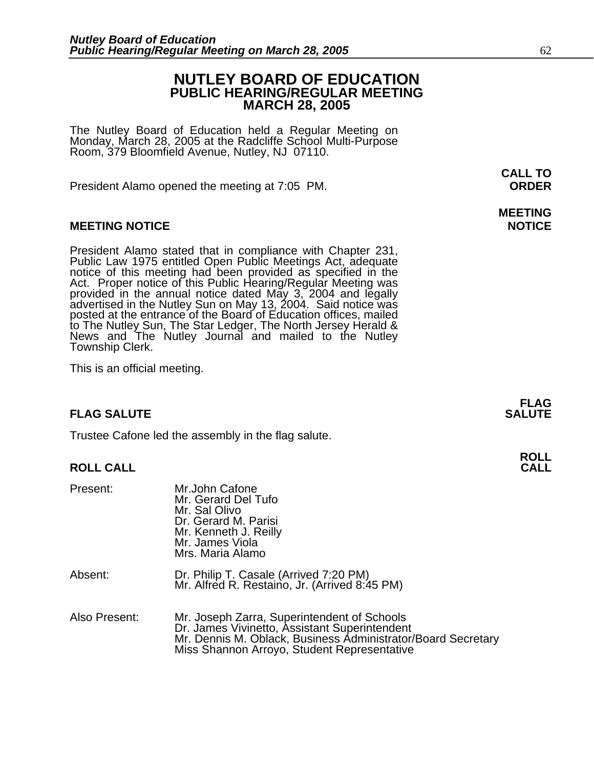### **NUTLEY BOARD OF EDUCATION PUBLIC HEARING/REGULAR MEETING MARCH 28, 2005**

The Nutley Board of Education held a Regular Meeting on Monday, March 28, 2005 at the Radcliffe School Multi-Purpose Room, 379 Bloomfield Avenue, Nutley, NJ 07110.

President Alamo opened the meeting at 7:05 PM. **ORDER**

#### **MEETING NOTICE NOTICE AND INCOMEDIATE**

President Alamo stated that in compliance with Chapter 231,<br>Public Law 1975 entitled Open Public Meetings Act, adequate<br>notice of this meeting had been provided as specified in the<br>Act. Proper notice of this Public Hearing to The Nutley Sun, The Star Ledger, The North Jersey Herald &<br>News and The Nutley Journal and mailed to the Nutley Township Clerk.

This is an official meeting.

#### **FLAG SALUTE SALUTE SALUTE**

Trustee Cafone led the assembly in the flag salute.

#### **ROLL CALL CALL**

| Present:      | Mr.John Cafone<br>Mr. Gerard Del Tufo<br>Mr. Sal Olivo<br>Dr. Gerard M. Parisi<br>Mr. Kenneth J. Reilly<br>Mr. James Viola<br>Mrs. Maria Alamo                                                              |
|---------------|-------------------------------------------------------------------------------------------------------------------------------------------------------------------------------------------------------------|
| Absent:       | Dr. Philip T. Casale (Arrived 7:20 PM)<br>Mr. Alfred R. Restaino, Jr. (Arrived 8:45 PM)                                                                                                                     |
| Also Present: | Mr. Joseph Zarra, Superintendent of Schools<br>Dr. James Vivinetto, Assistant Superintendent<br>Mr. Dennis M. Oblack, Business Administrator/Board Secretary<br>Miss Shannon Arroyo, Student Representative |

**CALL TO** 

## **MEETING**

**FLAG**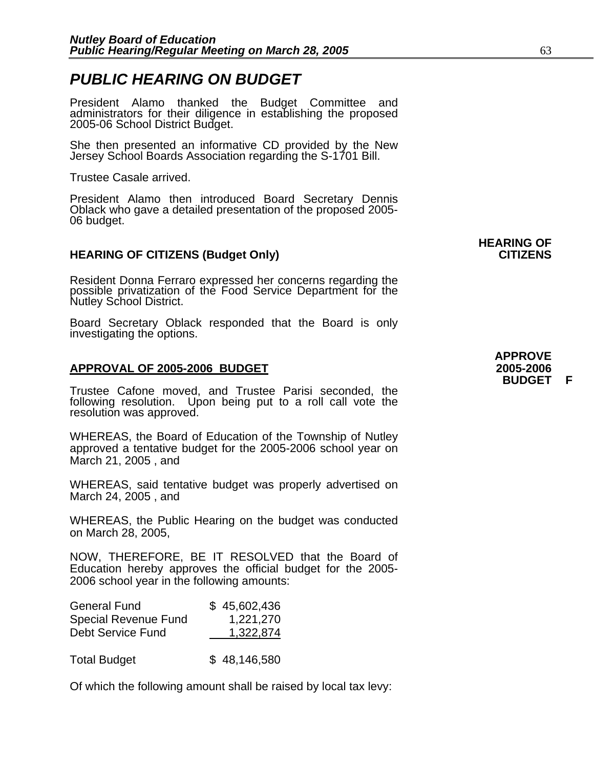### *PUBLIC HEARING ON BUDGET*

President Alamo thanked the Budget Committee and administrators for their diligence in establishing the proposed 2005-06 School District Budget.

She then presented an informative CD provided by the New Jersey School Boards Association regarding the S-1701 Bill.

Trustee Casale arrived.

President Alamo then introduced Board Secretary Dennis Oblack who gave a detailed presentation of the proposed 2005- 06 budget.

#### **HEARING OF CITIZENS (Budget Only) CITIZENS**

Resident Donna Ferraro expressed her concerns regarding the possible privatization of the Food Service Department for the Nutley School District.

Board Secretary Oblack responded that the Board is only investigating the options.

#### **APPROVAL OF 2005-2006 BUDGET 2005-2006**

Trustee Cafone moved, and Trustee Parisi seconded, the following resolution. Upon being put to a roll call vote the resolution was approved.

WHEREAS, the Board of Education of the Township of Nutley approved a tentative budget for the 2005-2006 school year on March 21, 2005 , and

WHEREAS, said tentative budget was properly advertised on March 24, 2005 , and

WHEREAS, the Public Hearing on the budget was conducted on March 28, 2005,

NOW, THEREFORE, BE IT RESOLVED that the Board of Education hereby approves the official budget for the 2005- 2006 school year in the following amounts:

| <b>General Fund</b>         | \$45,602,436 |
|-----------------------------|--------------|
| <b>Special Revenue Fund</b> | 1,221,270    |
| Debt Service Fund           | 1,322,874    |
|                             |              |

Total Budget **\$** 48,146,580

Of which the following amount shall be raised by local tax levy:

**HEARING OF**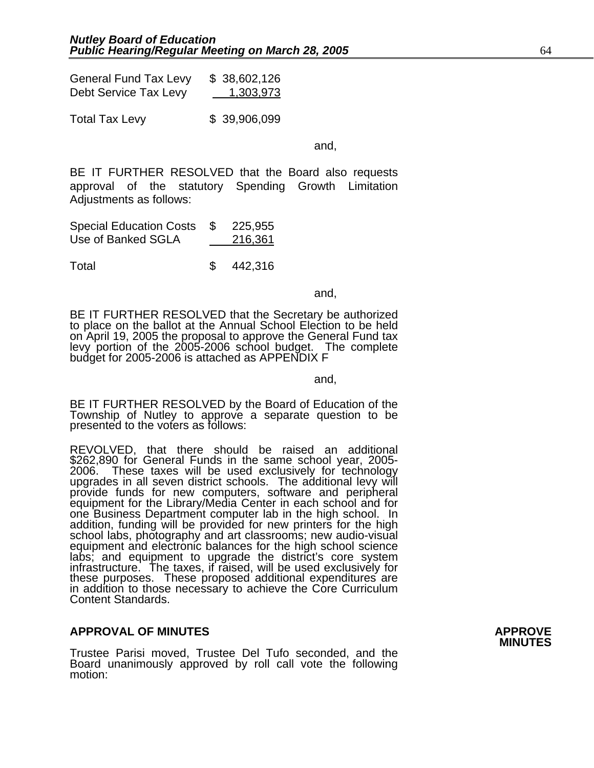| <b>General Fund Tax Levy</b> | \$38,602,126     |
|------------------------------|------------------|
| Debt Service Tax Levy        | <u>1,303,973</u> |
|                              |                  |

Total Tax Levy \$ 39,906,099

and,

BE IT FURTHER RESOLVED that the Board also requests approval of the statutory Spending Growth Limitation Adjustments as follows:

| <b>Special Education Costs</b> | - \$ | 225,955 |
|--------------------------------|------|---------|
| Use of Banked SGLA             |      | 216,361 |

Total \$ 442,316

and, the contract of the contract of the contract of the contract of the contract of the contract of the contract of the contract of the contract of the contract of the contract of the contract of the contract of the contr

BE IT FURTHER RESOLVED that the Secretary be authorized to place on the ballot at the Annual School Election to be held on April 19, 2005 the proposal to approve the General Fund tax levy portion of the 2005-2006 school budget. The complete budget for 2005-2006 is attached as APPENDIX F

and,

BE IT FURTHER RESOLVED by the Board of Education of the Township of Nutley to approve a separate question to be presented to the voters as follows:

REVOLVED, that there should be raised an additional \$262,890 for General Funds in the same school year, 2005- 2006. These taxes will be used exclusively for technology upgrades in all seven district schools. The additional levy will provide funds for new computers, software and peripheral equipment for the Library/Media Center in each school and for one Business Department computer lab i addition, funding will be provided for new printers for the high school labs, photography and art classrooms; new audio-visual equipment and electronic balances for the high school science labs; and equipment to upgrade the district's core system<br>infrastructure. The taxes, if raised, will be used exclusively for<br>these purposes. These proposed additional expenditures are<br>in addition to those necessary to achi Content Standards.

### **APPROVAL OF MINUTES APPROVE**

Trustee Parisi moved, Trustee Del Tufo seconded, and the Board unanimously approved by roll call vote the following motion: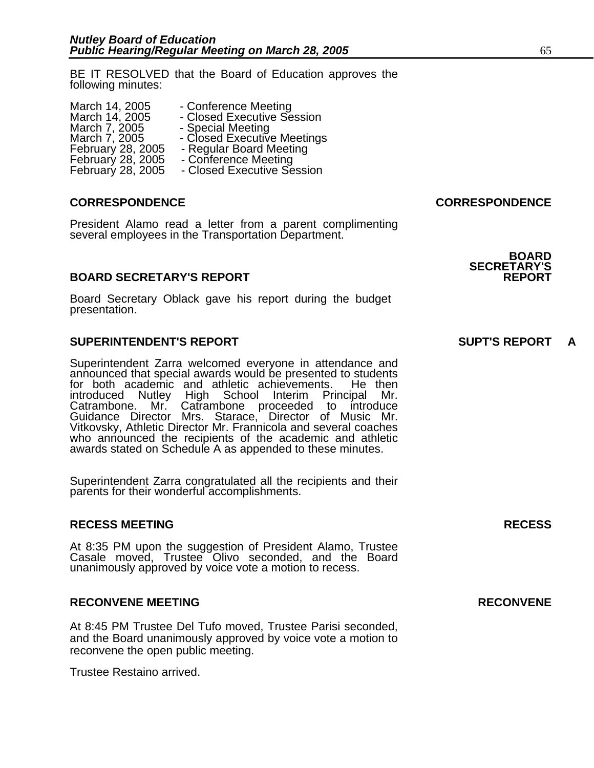BE IT RESOLVED that the Board of Education approves the following minutes:

| March 14, 2005    | - Closed Executive Session  |
|-------------------|-----------------------------|
| March 7, 2005     | - Special Meeting           |
| March 7, 2005     | - Closed Executive Meetings |
| February 28, 2005 | - Regular Board Meeting     |
| February 28, 2005 | - Conference Meeting        |
| February 28, 2005 | - Closed Executive Session  |

#### **CORRESPONDENCE CORRESPONDENCE**

President Alamo read a letter from a parent complimenting several employees in the Transportation Department.

#### **BOARD SECRETARY'S REPORT**

Board Secretary Oblack gave his report during the budget presentation.

#### **SUPERINTENDENT'S REPORT SUPT'S REPORT A**

Superintendent Zarra welcomed everyone in attendance and announced that special awards would be presented to students<br>for both academic and athletic achievements. He then<br>introduced Nutley High School Interim Principal Mr. introduced Nutley High School Interim Principal Catrambone. Mr. Catrambone proceeded to introduce Guidance Director Mrs. Starace, Director of Music Mr. Vitkovsky, Athletic Director Mr. Frannicola and several coaches who announced the recipients of the academic and athletic awards stated on Schedule A as appended to these minutes.

Superintendent Zarra congratulated all the recipients and their parents for their wonderful accomplishments.

#### **RECESS MEETING RECESS**

At 8:35 PM upon the suggestion of President Alamo, Trustee Casale moved, Trustee Olivo seconded, and the Board unanimously approved by voice vote a motion to recess.

#### **RECONVENE MEETING RECONVENE**

At 8:45 PM Trustee Del Tufo moved, Trustee Parisi seconded, and the Board unanimously approved by voice vote a motion to reconvene the open public meeting.

Trustee Restaino arrived.

### **BOARD SECRETARY'S**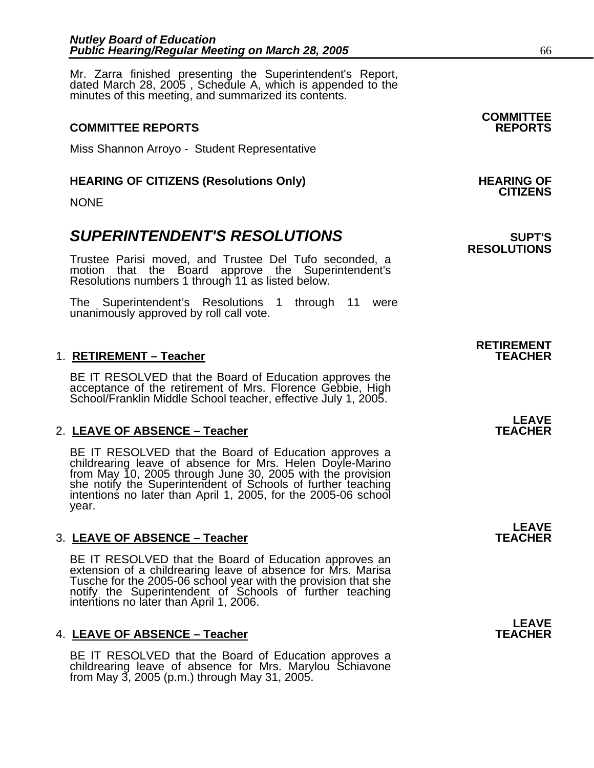Mr. Zarra finished presenting the Superintendent's Report, dated March 28, 2005 , Schedule A, which is appended to the minutes of this meeting, and summarized its contents.

### **COMMITTEE REPORTS REPORTS**

Miss Shannon Arroyo - Student Representative

## HEARING OF CITIZENS (Resolutions Only) HEARING OF<br>CITIZENS

NONE

### **SUPERINTENDENT'S RESOLUTIONS EXAMPLE ASSESSED ASSESSED ASSESSED ASSESSED ASSESSED ASSESSED ASSESSED ASSESSED ASSESSED ASSESSED ASSESSED ASSESSED ASSESSED ASSESSED ASSESSED ASSESSED ASSESSED ASSESSED ASSESSED ASSESSED AS**

Trustee Parisi moved, and Trustee Del Tufo seconded, a motion that the Board approve the Superintendent's Resolutions numbers 1 through 11 as listed below.

The Superintendent's Resolutions 1 through 11 were unanimously approved by roll call vote.

#### 1. **RETIREMENT - Teacher**

BE IT RESOLVED that the Board of Education approves the acceptance of the retirement of Mrs. Florence Gebbie, High School/Franklin Middle School teacher, effective July 1, 2005.

### 2. LEAVE OF ABSENCE – Teacher **TEACHER TEACHER**

BE IT RESOLVED that the Board of Education approves a childrearing leave of absence for Mrs. Helen Doyle-Marino from May 10, 2005 through June 30, 2005 with the provision she notify the Superintendent of Schools of further teaching<br>intentions no later than April 1, 2005, for the 2005-06 school year.

### 3. LEAVE OF ABSENCE – Teacher **TEACHER TEACHER**

BE IT RESOLVED that the Board of Education approves an extension of a childrearing leave of absence for Mrs. Marisa<br>Tusche for the 2005-06 school year with the provision that she notify the Superintendent of Schools of further teaching intentions no later than April 1, 2006.

#### 4. LEAVE OF ABSENCE – Teacher **TEACHER TEACHER**

BE IT RESOLVED that the Board of Education approves a childrearing leave of absence for Mrs. Marylou Schiavone from May 3, 2005 (p.m.) through May 31, 2005.

**COMMITTEE** 

## **RESOLUTIONS**

# **RETIREMENT**

## **LEAVE**

**LEAVE** 

## **LEAVE**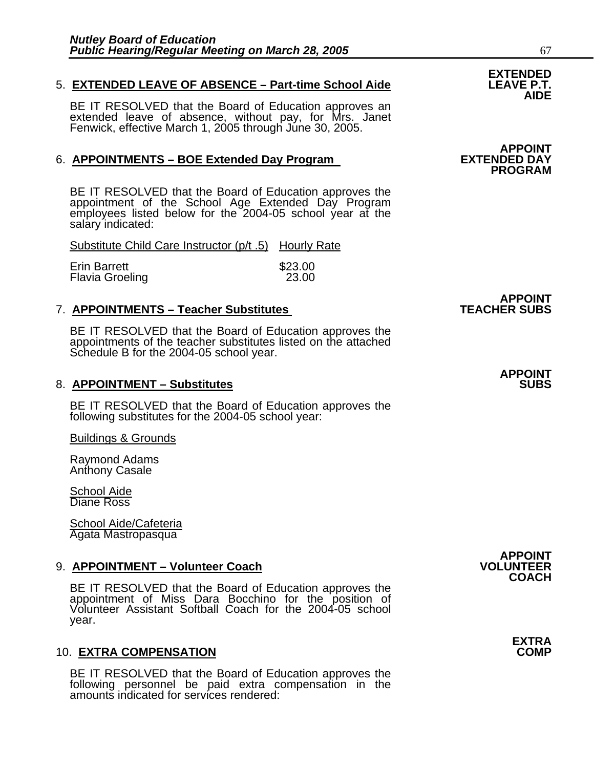## 5. **EXTENDED LEAVE OF ABSENCE – Part-time School Aide LEAVE P.T. AIDE**

BE IT RESOLVED that the Board of Education approves an extended leave of absence, without pay, for Mrs. Janet Fenwick, effective March 1, 2005 through June 30, 2005.

#### 6. **APPOINTMENTS – BOE Extended Day Program EXTENDED DAY**

BE IT RESOLVED that the Board of Education approves the appointment of the School Age Extended Day Program employees listed below for the 2004-05 school year at the salary indicated:

Substitute Child Care Instructor (p/t .5) Hourly Rate

| Erin Barrett    | \$23.00 |
|-----------------|---------|
| Flavia Groeling | 23.00   |

#### **7. APPOINTMENTS – Teacher Substitutes**

BE IT RESOLVED that the Board of Education approves the appointments of the teacher substitutes listed on the attached Schedule B for the 2004-05 school year.

#### 8. APPOINTMENT - Substitutes

BE IT RESOLVED that the Board of Education approves the following substitutes for the 2004-05 school year:

Buildings & Grounds

Raymond Adams Anthony Casale

School Aide Diane Ross

School Aide/Cafeteria Agata Mastropasqua

9. **APPOINTMENT – Volunteer Coach**<br>**COACH** BE IT RESOLVED that the Board of Education approves the BE IT RESOLVED that the Board of Education approves the<br>appointment of Miss Dara Bocchino for the position of Volunteer Assistant Softball Coach for the 2004-05 school year.

#### **10. EXTRA COMPENSATION**

BE IT RESOLVED that the Board of Education approves the following personnel be paid extra compensation in the amounts indicated for services rendered:

**EXTENDED** 

### **APPOINT PROGRAM**

**APPOINT<br>TEACHER SUBS** 

## **APPOINT**

**APPOINT** 

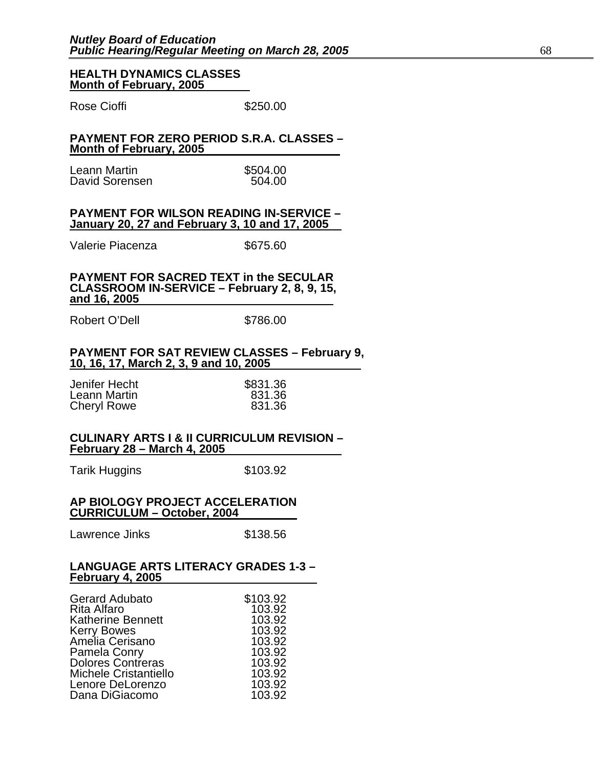#### **HEALTH DYNAMICS CLASSES Month of February, 2005**

Rose Cioffi **\$250.00** 

#### **PAYMENT FOR ZERO PERIOD S.R.A. CLASSES – Month of February, 2005**

| Leann Martin   | \$504.00 |
|----------------|----------|
| David Sorensen | 504.00   |

#### **PAYMENT FOR WILSON READING IN-SERVICE – January 20, 27 and February 3, 10 and 17, 2005**

Valerie Piacenza **\$675.60** 

### **PAYMENT FOR SACRED TEXT in the SECULAR CLASSROOM IN-SERVICE – February 2, 8, 9, 15, and 16, 2005**

Robert O'Dell \$786.00

## **PAYMENT FOR SAT REVIEW CLASSES – February 9, 10, 16, 17, March 2, 3, 9 and 10, 2005**

| Jenifer Hecht | \$831.36 |
|---------------|----------|
| Leann Martin  | 831.36   |
| Cheryl Rowe   | 831.36   |

#### **CULINARY ARTS I & II CURRICULUM REVISION – February 28 – March 4, 2005**

Tarik Huggins **\$103.92** 

#### **AP BIOLOGY PROJECT ACCELERATION CURRICULUM – October, 2004**

Lawrence Jinks \$138.56

#### **LANGUAGE ARTS LITERACY GRADES 1-3 – February 4, 2005**

| <b>Gerard Adubato</b>          | \$103.92 |
|--------------------------------|----------|
| Rita Alfaro                    | 103.92   |
| <b>Katherine Bennett</b>       | 103.92   |
|                                | 103.92   |
| Kerry Bowes<br>Amelia Cerisano | 103.92   |
| Pamela Conry                   | 103.92   |
| <b>Dolores Contreras</b>       | 103.92   |
| <b>Michele Cristantiello</b>   | 103.92   |
| Lenore DeLorenzo               | 103.92   |
| Dana DiGiacomo                 | 103.92   |
|                                |          |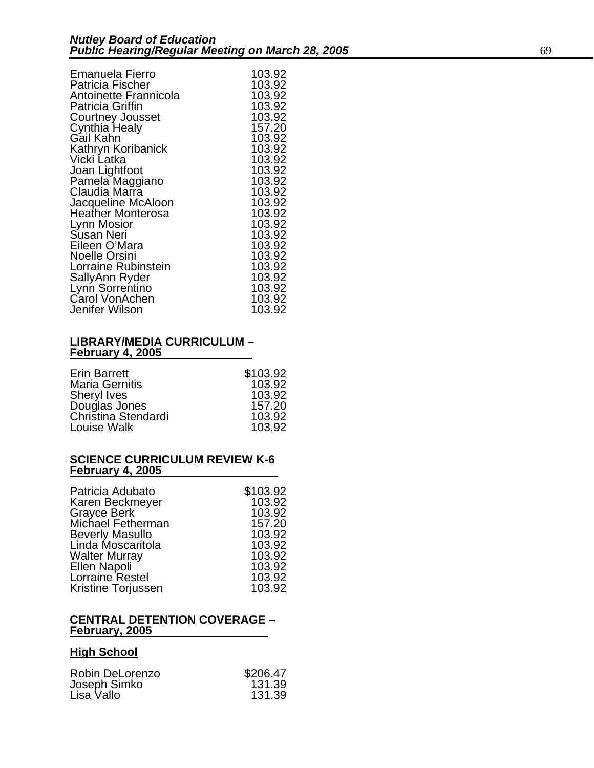| <b>Emanuela Fierro</b>  | 103.92 |
|-------------------------|--------|
| Patricia Fischer        | 103.92 |
| Antoinette Frannicola   | 103.92 |
| <b>Patricia Griffin</b> | 103.92 |
| <b>Courtney Jousset</b> | 103.92 |
| Cynthia Healy           | 157.20 |
| Gail Kahn               | 103.92 |
| Kathryn Koribanick      | 103.92 |
| Vicki Latka             | 103.92 |
| Joan Lightfoot          | 103.92 |
| Pamela Maggiano         | 103.92 |
| Claudia Marra           | 103.92 |
| Jacqueline McAloon      | 103.92 |
| Heather Monterosa       | 103.92 |
| Lynn Mosior             | 103.92 |
| Susan Neri              | 103.92 |
| Eileen O'Mara           | 103.92 |
| <b>Noelle Orsini</b>    | 103.92 |
| Lorraine Rubinstein     | 103.92 |
| SallyAnn Ryder          | 103.92 |
| Lynn Sorrentino         | 103.92 |
| Carol VonAchen          | 103.92 |
| Jenifer Wilson          | 103.92 |

#### **LIBRARY/MEDIA CURRICULUM – February 4, 2005**

| <b>Erin Barrett</b>   | \$103.92 |
|-----------------------|----------|
| <b>Maria Gernitis</b> | 103.92   |
| <b>Sheryl Ives</b>    | 103.92   |
| Douglas Jones         | 157.20   |
| Christina Stendardi   | 103.92   |
| Louise Walk           | 103.92   |

#### **SCIENCE CURRICULUM REVIEW K-6 February 4, 2005**

| Patricia Adubato       | \$103.92 |
|------------------------|----------|
| Karen Beckmeyer        | 103.92   |
| Grayce Berk            | 103.92   |
| Michael Fetherman      | 157.20   |
| <b>Beverly Masullo</b> | 103.92   |
| Linda Moscaritola      | 103.92   |
| <b>Walter Murray</b>   | 103.92   |
| Ellen Napoli           | 103.92   |
| Lorraine Restel        | 103.92   |
| Kristine Torjussen     | 103.92   |

#### **CENTRAL DETENTION COVERAGE – February, 2005**

### **High School**

| \$206.47 |
|----------|
| 131.39   |
| 131.39   |
|          |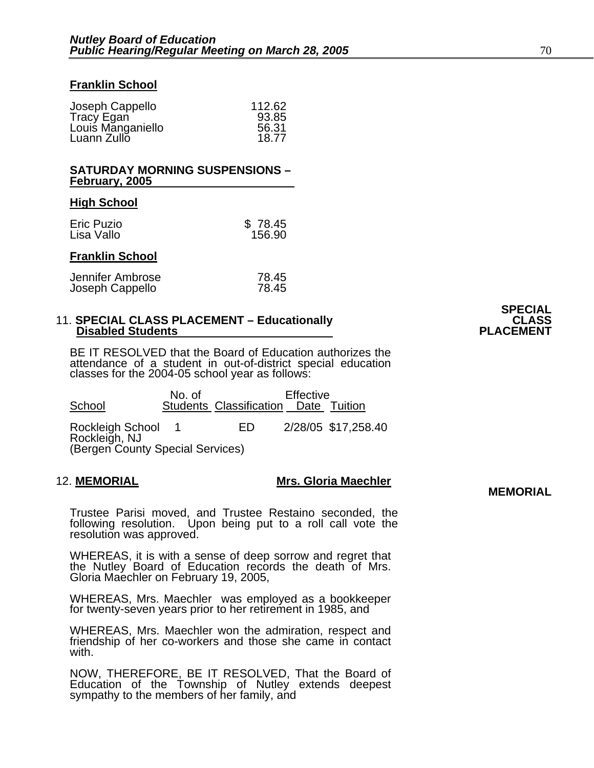#### **Franklin School**

| Joseph Cappello   | 112.62 |
|-------------------|--------|
| Tracy Egan        | 93.85  |
| Louis Manganiello | 56.31  |
| Luann Zullo       | 18.77  |
|                   |        |

#### **SATURDAY MORNING SUSPENSIONS – February, 2005**

#### **High School**

| Eric Puzio | \$78.45 |
|------------|---------|
| Lisa Vallo | 156.90  |

#### **Franklin School**

| Jennifer Ambrose | 78.45 |
|------------------|-------|
| Joseph Cappello  | 78.45 |

#### 11. **SPECIAL CLASS PLACEMENT – Educationally CLASS Disabled Students**

BE IT RESOLVED that the Board of Education authorizes the attendance of a student in out-of-district special education classes for the 2004-05 school year as follows:

No. of Effective<br>Chool Students Classification Date Students Classification Date Tuition Rockleigh School 1 ED 2/28/05 \$17,258.40 Rockleigh, NJ (Bergen County Special Services)

### 12. **MEMORIAL Mrs. Gloria Maechler MEMORIAL**

Trustee Parisi moved, and Trustee Restaino seconded, the following resolution. Upon being put to a roll call vote the resolution was approved.

WHEREAS, it is with a sense of deep sorrow and regret that the Nutley Board of Education records the death of Mrs. Gloria Maechler on February 19, 2005,

WHEREAS, Mrs. Maechler was employed as a bookkeeper for twenty-seven years prior to her retirement in 1985, and

WHEREAS, Mrs. Maechler won the admiration, respect and friendship of her co-workers and those she came in contact with.

NOW, THEREFORE, BE IT RESOLVED, That the Board of Education of the Township of Nutley extends deepest sympathy to the members of her family, and

# **SPECIAL**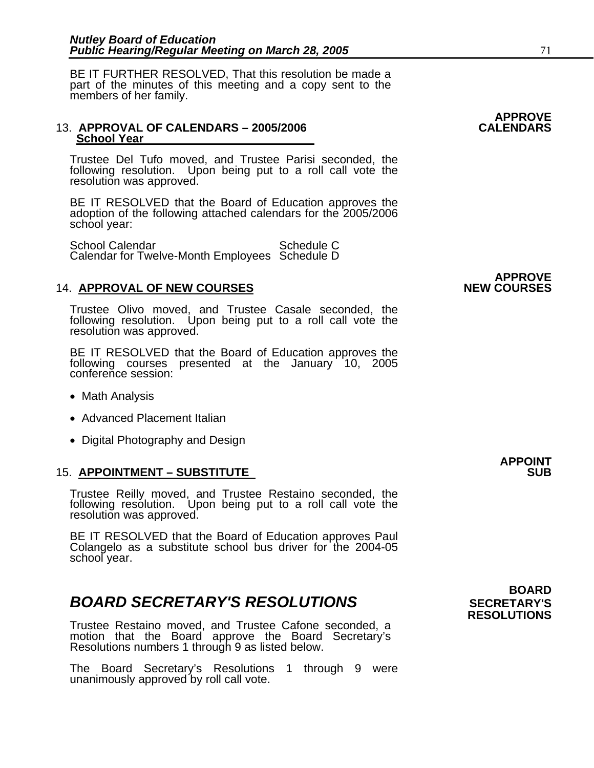BE IT FURTHER RESOLVED, That this resolution be made a part of the minutes of this meeting and a copy sent to the members of her family.

#### 13. **APPROVAL OF CALENDARS - 2005/2006 School Year**

Trustee Del Tufo moved, and Trustee Parisi seconded, the following resolution. Upon being put to a roll call vote the resolution was approved.

BE IT RESOLVED that the Board of Education approves the adoption of the following attached calendars for the 2005/2006 school year:

School Calendar Schedule C Calendar for Twelve-Month Employees Schedule D

#### **14. APPROVAL OF NEW COURSES**

Trustee Olivo moved, and Trustee Casale seconded, the following resolution. Upon being put to a roll call vote the resolution was approved.

BE IT RESOLVED that the Board of Education approves the following courses presented at the January 10, 2005 conference session:

- Math Analysis
- Advanced Placement Italian
- Digital Photography and Design

#### **15. APPOINTMENT – SUBSTITUTE**

Trustee Reilly moved, and Trustee Restaino seconded, the following resolution. Upon being put to a roll call vote the resolution was approved.

BE IT RESOLVED that the Board of Education approves Paul Colangelo as a substitute school bus driver for the 2004-05 school year.

### **BOARD SECRETARY'S RESOLUTIONS** SECRETARY'S

Trustee Restaino moved, and Trustee Cafone seconded, a motion that the Board approve the Board Secretary's Resolutions numbers 1 through 9 as listed below.

The Board Secretary's Resolutions 1 through 9 were unanimously approved by roll call vote.

**APPROVE** 

**APPROVE** 

**APPOINT** 

 **BOARD RESOLUTIONS**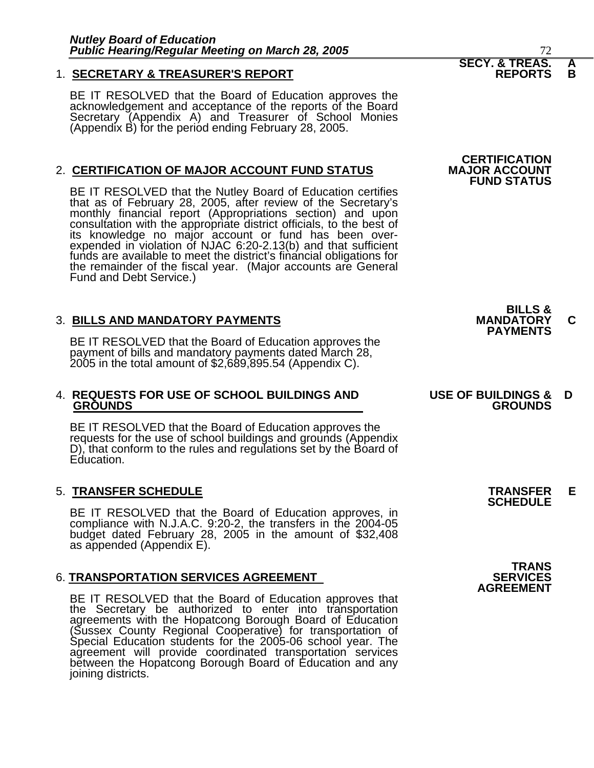#### 1. **SECRETARY & TREASURER'S REPORT**

BE IT RESOLVED that the Board of Education approves the<br>acknowledgement and acceptance of the reports of the Board<br>Secretary (Appendix A) and Treasurer of School Monies (Appendix B) for the period ending February 28, 2005.

#### 2. **CERTIFICATION OF MAJOR ACCOUNT FUND STATUS**

BE IT RESOLVED that the Nutley Board of Education certifies that as of February 28, 2005, after review of the Secretary's monthly financial report (Appropriations section) and upon consultation with the appropriate district officials, to the best of its knowledge no major account or fund has been overexpended in violation of NJAC 6:20-2.13(b) and that sufficient funds are available to meet the district's financial obligations for the remainder of the fiscal year. (Major accounts are General Fund and Debt Service.)

3. BILLS AND MANDATORY PAYMENTS<br>
BE IT RESOLVED that the Board of Education approves the **PAYMENTS** BE IT RESOLVED that the Board of Education approves the payment of bills and mandatory payments dated March 28, 2005 in the total amount of \$2,689,895.54 (Appendix C).

#### 4. **REQUESTS FOR USE OF SCHOOL BUILDINGS AND USE OF BUILDINGS & D GROUNDS GROUNDS**

BE IT RESOLVED that the Board of Education approves the requests for the use of school buildings and grounds (Appendix D), that conform to the rules and regulations set by the Board of Education.

### 5. **TRANSFER SCHEDULE TRANSFER E SCHEDULE**

BE IT RESOLVED that the Board of Education approves, in compliance with N.J.A.C. 9:20-2, the transfers in the 2004-05 budget dated February 28, 2005 in the amount of \$32,408 as appended (Appendix E).

#### **6. TRANSPORTATION SERVICES AGREEMENT**

BE IT RESOLVED that the Board of Education approves that<br>the Secretary be authorized to enter into transportation<br>agreements with the Hopatcong Borough Board of Education<br>(Sussex County Regional Cooperative) for transporta



**CERTIFICATION<br>MAJOR ACCOUNT FUND STATUS** 

**BILLS &** 

**TRANS<br>SERVICES AGREEMENT**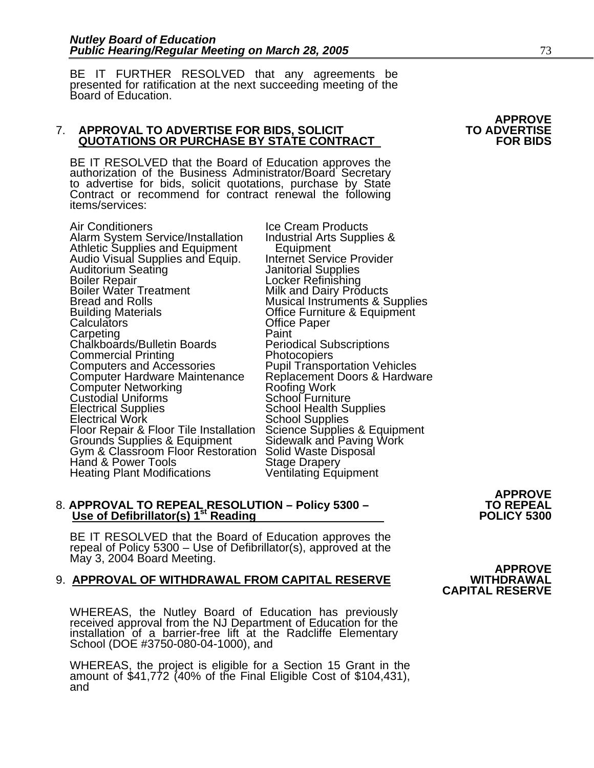BE IT FURTHER RESOLVED that any agreements be presented for ratification at the next succeeding meeting of the Board of Education.

#### 7. **APPROVAL TO ADVERTISE FOR BIDS, SOLICIT TO ADVERTISE QUOTATIONS OR PURCHASE BY STATE CONTRACT FOR BIDS**

BE IT RESOLVED that the Board of Education approves the authorization of the Business Administrator/Board Secretary to advertise for bids, solicit quotations, purchase by State Contract or recommend for contract renewal the following items/services:

Air Conditioners Ice Cream Products Alarm System Service/Installation Athletic Supplies and Equipment Equipment Audio Visual Supplies and Equip. Internet Service Provider Boiler Repair<br>
Boiler Water Treatment<br>
Bread and Rolls<br>
Building Materials<br>
Calculators<br>
Calculators<br>
Calculators<br>
Calculators<br>
Calculators<br>
Calculators<br>
Calculators<br>
Calculators<br>
Calculators<br>
Calculators<br>
Calculators<br>
Cal Commercial Printing<br>Computers and Accessories Pupil Transportation Vehicles<br>Computer Hardware Maintenance Replacement Doors & Hardware Computer Networking<br>
Custodial Uniforms<br>
Electrical Supplies<br>
Electrical Work Custodial Uniforms<br>
Electrical Work Custodial Custodial Custodial Uniforms<br>
School Supplies<br>
School Supplies Electrical Work<br>
Floor Repair & Floor Tile Installation<br>
Science Supplies & Equipment<br>
Grounds Supplies & Equipment<br>
Gym & Classroom Floor Restoration<br>
Solid Waste Disposal<br>
Hand & Power Tools<br>
Stage Drapery Heating Plant Modifications **Ventilating Equipment** 

## 8. APPROVAL TO REPEAL RESOLUTION – Policy 5300 – TO REPEAL Use of Defibrillator(s) 1<sup>st</sup> Reading POLICY 5300

BE IT RESOLVED that the Board of Education approves the<br>repeal of Policy 5300 – Use of Defibrillator(s), approved at the<br>May 3, 2004 Board Meeting. **APPROVE APPROVE APPROVE APPROVEL OF WITHDRAWAL FROM CAPITAL RESERVE** 

### 9. **APPROVAL OF WITHDRAWAL FROM CAPITAL RESERVE WITHDRAWAL**

WHEREAS, the Nutley Board of Education has previously received approval from the NJ Department of Education for the installation of a barrier-free lift at the Radcliffe Elementary School (DOE #3750-080-04-1000), and

WHEREAS, the project is eligible for a Section 15 Grant in the amount of \$41,772 (40% of the Final Eligible Cost of \$104,431), and

**APPROVE** 

# **CAPITAL RESERVE**

# **APPROVE**<br>TO ADVERTISE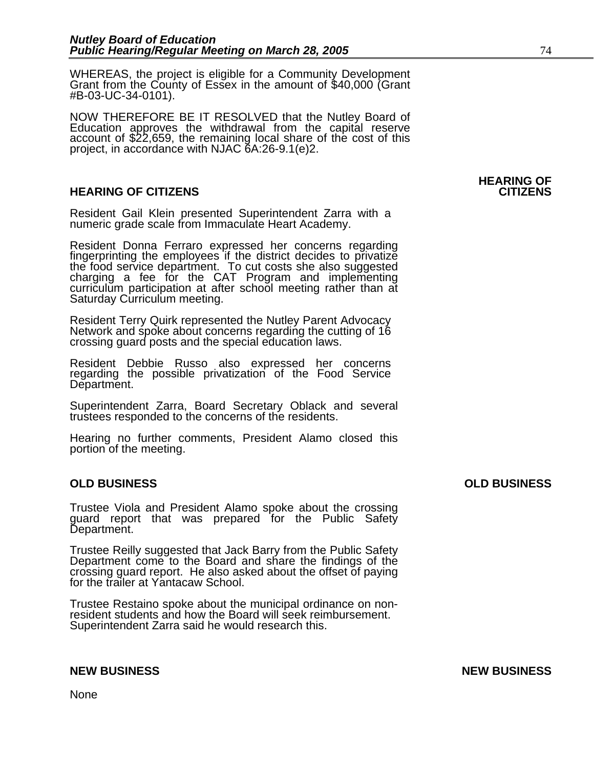WHEREAS, the project is eligible for a Community Development Grant from the County of Essex in the amount of \$40,000 (Grant #B-03-UC-34-0101).

NOW THEREFORE BE IT RESOLVED that the Nutley Board of Education approves the withdrawal from the capital reserve account of \$22,659, the remaining local share of the cost of this project, in accordance with NJAC 6A:26-9.1(e)2.

#### **HEARING OF CITIZENS CITIZENS**

Resident Gail Klein presented Superintendent Zarra with a numeric grade scale from Immaculate Heart Academy.

Resident Donna Ferraro expressed her concerns regarding fingerprinting the employees if the district decides to privatize the food service department. To cut costs she also suggested charging a fee for the CAT Program and curriculum participation at after school meeting rather than at Saturday Curriculum meeting.

Resident Terry Quirk represented the Nutley Parent Advocacy Network and spoke about concerns regarding the cutting of 16 crossing guard posts and the special education laws.

Resident Debbie Russo also expressed her concerns regarding the possible privatization of the Food Service Department.

Superintendent Zarra, Board Secretary Oblack and several trustees responded to the concerns of the residents.

Hearing no further comments, President Alamo closed this portion of the meeting.

#### **OLD BUSINESS OLD BUSINESS**

Trustee Viola and President Alamo spoke about the crossing guard report that was prepared for the Public Safety Department.

Trustee Reilly suggested that Jack Barry from the Public Safety Department come to the Board and share the findings of the crossing guard report. He also asked about the offset of paying for the trailer at Yantacaw School.

Trustee Restaino spoke about the municipal ordinance on non- resident students and how the Board will seek reimbursement. Superintendent Zarra said he would research this.

None

## **HEARING OF**

**NEW BUSINESS NEW BUSINESS**